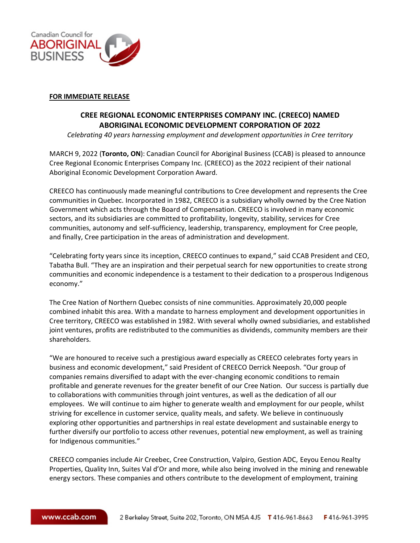

## **FOR IMMEDIATE RELEASE**

## **CREE REGIONAL ECONOMIC ENTERPRISES COMPANY INC. (CREECO) NAMED ABORIGINAL ECONOMIC DEVELOPMENT CORPORATION OF 2022**

*Celebrating 40 years harnessing employment and development opportunities in Cree territory*

MARCH 9, 2022 (**Toronto, ON**): Canadian Council for Aboriginal Business (CCAB) is pleased to announce Cree Regional Economic Enterprises Company Inc. (CREECO) as the 2022 recipient of their national Aboriginal Economic Development Corporation Award.

CREECO has continuously made meaningful contributions to Cree development and represents the Cree communities in Quebec. Incorporated in 1982, CREECO is a subsidiary wholly owned by the Cree Nation Government which acts through the Board of Compensation. CREECO is involved in many economic sectors, and its subsidiaries are committed to profitability, longevity, stability, services for Cree communities, autonomy and self-sufficiency, leadership, transparency, employment for Cree people, and finally, Cree participation in the areas of administration and development.

"Celebrating forty years since its inception, CREECO continues to expand," said CCAB President and CEO, Tabatha Bull. "They are an inspiration and their perpetual search for new opportunities to create strong communities and economic independence is a testament to their dedication to a prosperous Indigenous economy."

The Cree Nation of Northern Quebec consists of nine communities. Approximately 20,000 people combined inhabit this area. With a mandate to harness employment and development opportunities in Cree territory, CREECO was established in 1982. With several wholly owned subsidiaries, and established joint ventures, profits are redistributed to the communities as dividends, community members are their shareholders.

"We are honoured to receive such a prestigious award especially as CREECO celebrates forty years in business and economic development," said President of CREECO Derrick Neeposh. "Our group of companies remains diversified to adapt with the ever-changing economic conditions to remain profitable and generate revenues for the greater benefit of our Cree Nation. Our success is partially due to collaborations with communities through joint ventures, as well as the dedication of all our employees. We will continue to aim higher to generate wealth and employment for our people, whilst striving for excellence in customer service, quality meals, and safety. We believe in continuously exploring other opportunities and partnerships in real estate development and sustainable energy to further diversify our portfolio to access other revenues, potential new employment, as well as training for Indigenous communities."

CREECO companies include Air Creebec, Cree Construction, Valpiro, Gestion ADC, Eeyou Eenou Realty Properties, Quality Inn, Suites Val d'Or and more, while also being involved in the mining and renewable energy sectors. These companies and others contribute to the development of employment, training